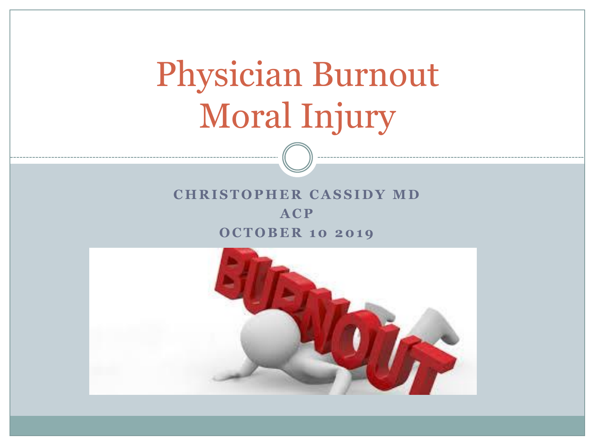# Physician Burnout Moral Injury

#### **CHRISTOPHER CASSIDY MD A C P OCTOBER 10 2019**

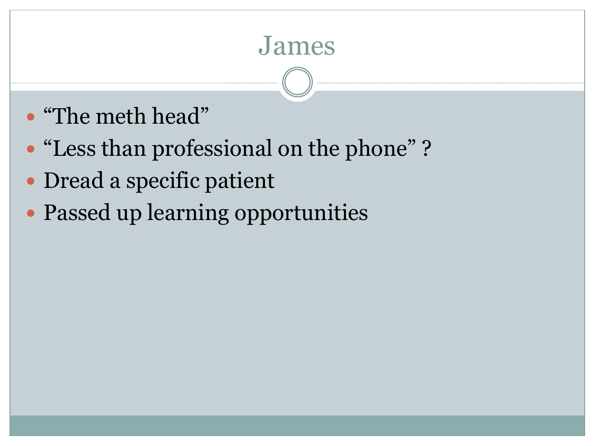### James

- "The meth head"
- "Less than professional on the phone"?
- Dread a specific patient
- Passed up learning opportunities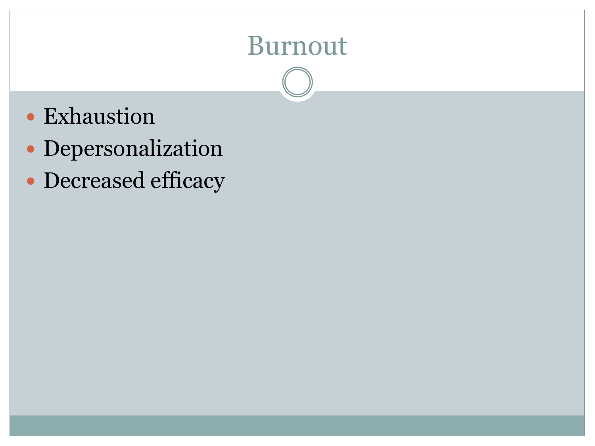### Burnout

- Exhaustion
- Depersonalization
- Decreased efficacy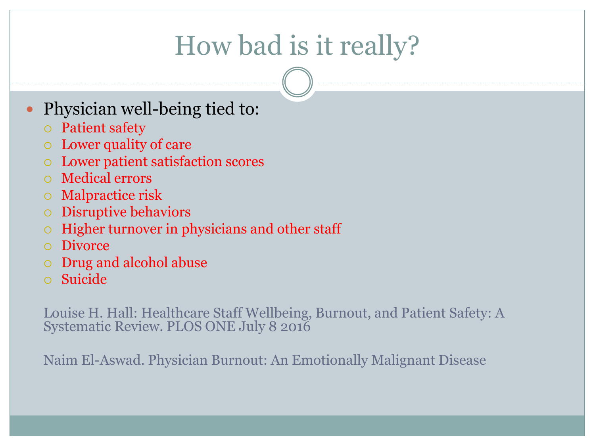#### Physician well-being tied to:

- Patient safety
- Lower quality of care
- Lower patient satisfaction scores
- Medical errors
- Malpractice risk
- Disruptive behaviors
- $\circ$  Higher turnover in physicians and other staff
- **Divorce**
- Drug and alcohol abuse
- Suicide

Louise H. Hall: Healthcare Staff Wellbeing, Burnout, and Patient Safety: A Systematic Review. PLOS ONE July 8 2016

Naim El-Aswad. Physician Burnout: An Emotionally Malignant Disease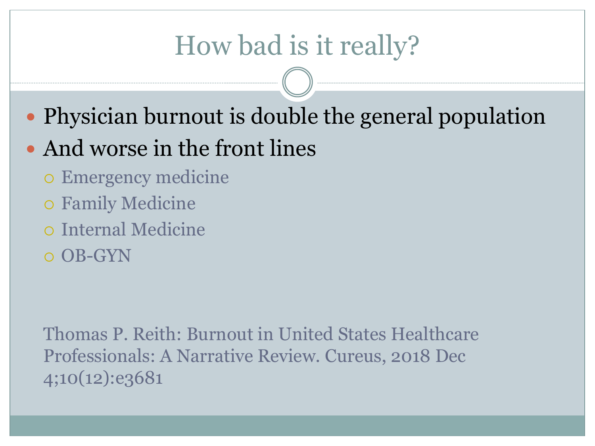• Physician burnout is double the general population

### • And worse in the front lines

- Emergency medicine
- Family Medicine
- Internal Medicine
- o OB-GYN

Thomas P. Reith: Burnout in United States Healthcare Professionals: A Narrative Review. Cureus, 2018 Dec 4;10(12):e3681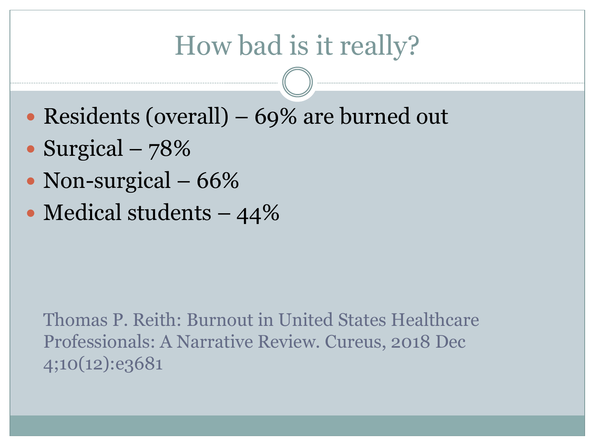- Residents (overall) 69% are burned out
- Surgical 78%
- Non-surgical 66%
- Medical students 44%

Thomas P. Reith: Burnout in United States Healthcare Professionals: A Narrative Review. Cureus, 2018 Dec 4;10(12):e3681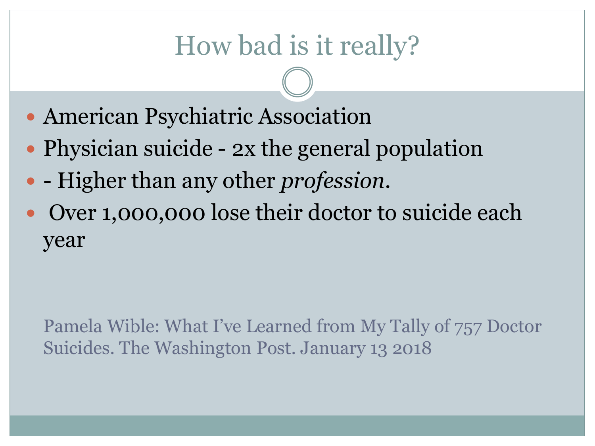- American Psychiatric Association
- Physician suicide 2x the general population
- Higher than any other *profession*.
- Over 1,000,000 lose their doctor to suicide each year

Pamela Wible: What I've Learned from My Tally of 757 Doctor Suicides. The Washington Post. January 13 2018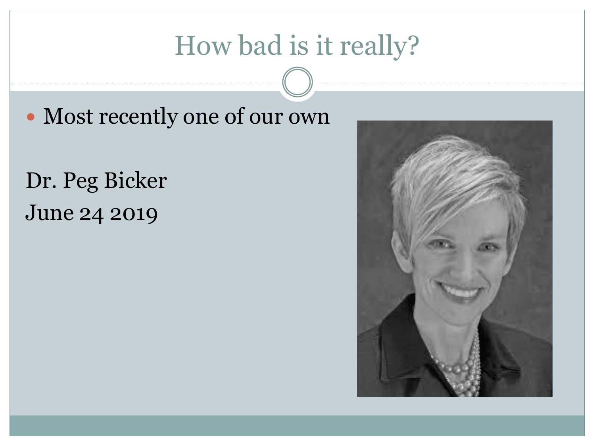Most recently one of our own

Dr. Peg Bicker June 24 2019

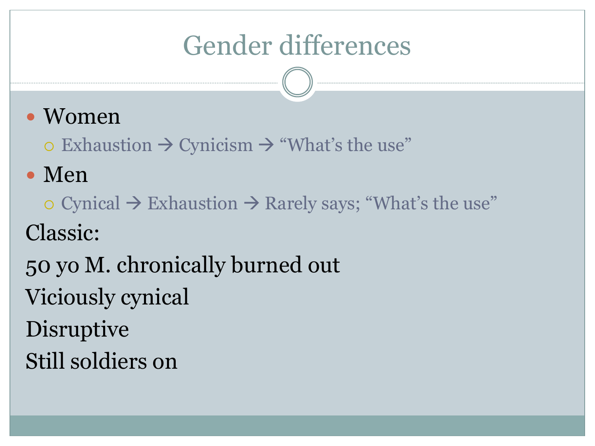## Gender differences

### Women

 $\circ$  Exhaustion  $\rightarrow$  Cynicism  $\rightarrow$  "What's the use"

### • Men

 $\circ$  Cynical  $\rightarrow$  Exhaustion  $\rightarrow$  Rarely says; "What's the use"

Classic:

50 yo M. chronically burned out Viciously cynical Disruptive

Still soldiers on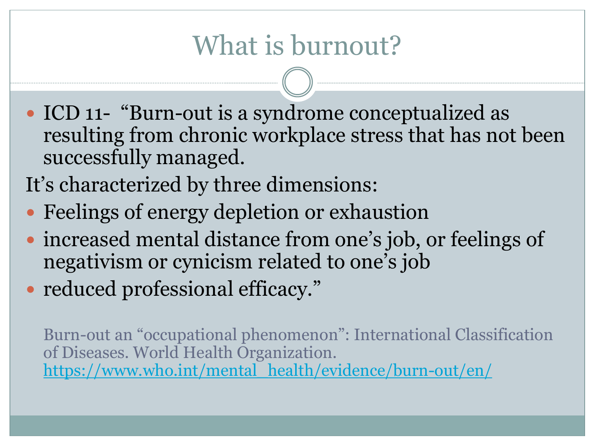# What is burnout?

- ICD 11- "Burn-out is a syndrome conceptualized as resulting from chronic workplace stress that has not been successfully managed.
- It's characterized by three dimensions:
- Feelings of energy depletion or exhaustion
- increased mental distance from one's job, or feelings of negativism or cynicism related to one's job
- reduced professional efficacy."

Burn-out an "occupational phenomenon": International Classification of Diseases. World Health Organization. [https://www.who.int/mental\\_health/evidence/burn-out/en/](https://www.who.int/mental_health/evidence/burn-out/en/)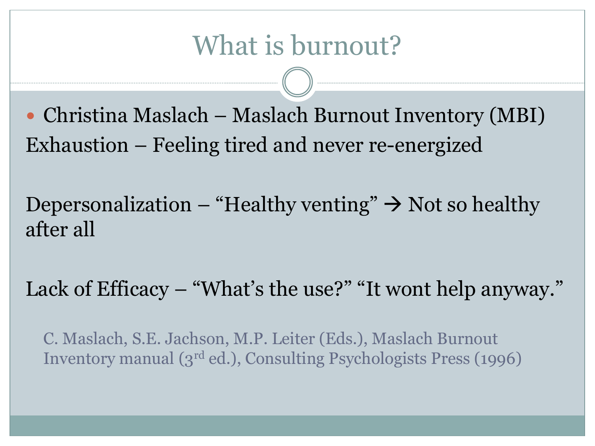Christina Maslach – Maslach Burnout Inventory (MBI) Exhaustion – Feeling tired and never re-energized

Depersonalization – "Healthy venting"  $\rightarrow$  Not so healthy after all

Lack of Efficacy – "What's the use?" "It wont help anyway."

C. Maslach, S.E. Jachson, M.P. Leiter (Eds.), Maslach Burnout Inventory manual (3rd ed.), Consulting Psychologists Press (1996)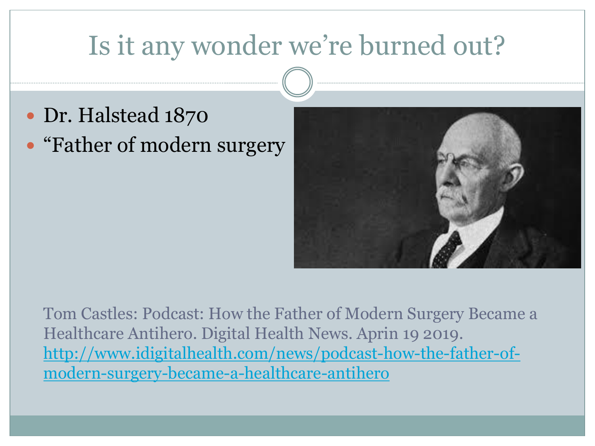- Dr. Halstead 1870
- "Father of modern surgery"



Tom Castles: Podcast: How the Father of Modern Surgery Became a Healthcare Antihero. Digital Health News. Aprin 19 2019. [http://www.idigitalhealth.com/news/podcast-how-the-father-of](http://www.idigitalhealth.com/news/podcast-how-the-father-of-modern-surgery-became-a-healthcare-antihero)modern-surgery-became-a-healthcare-antihero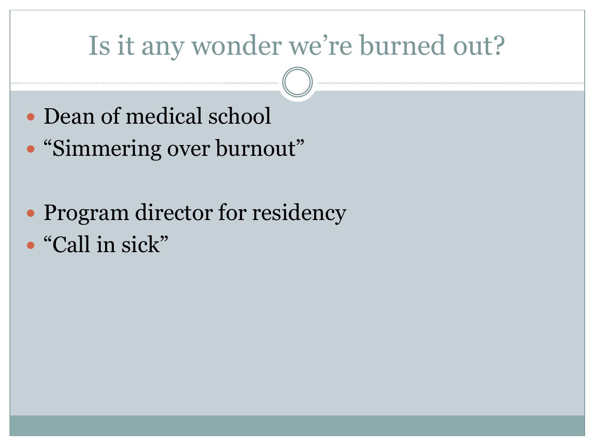- Dean of medical school
- "Simmering over burnout"
- Program director for residency • "Call in sick"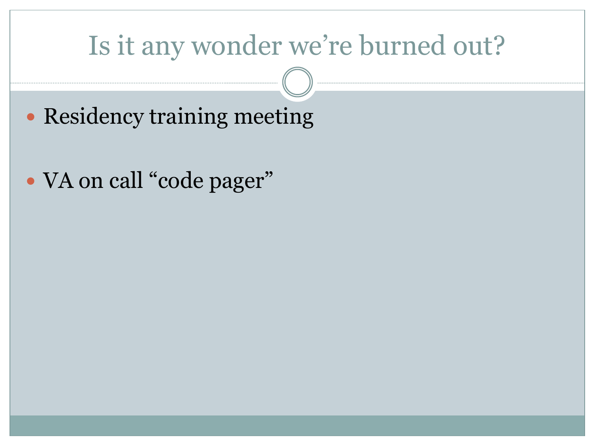- Residency training meeting
- VA on call "code pager"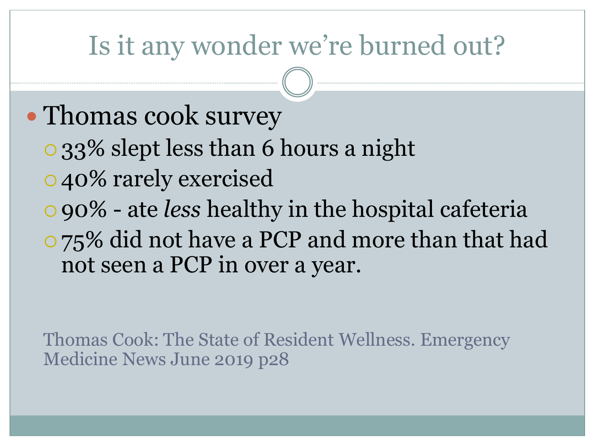- Thomas cook survey
	- 33% slept less than 6 hours a night
	- 40% rarely exercised
	- 90% ate *less* healthy in the hospital cafeteria
	- 75% did not have a PCP and more than that had not seen a PCP in over a year.

Thomas Cook: The State of Resident Wellness. Emergency Medicine News June 2019 p28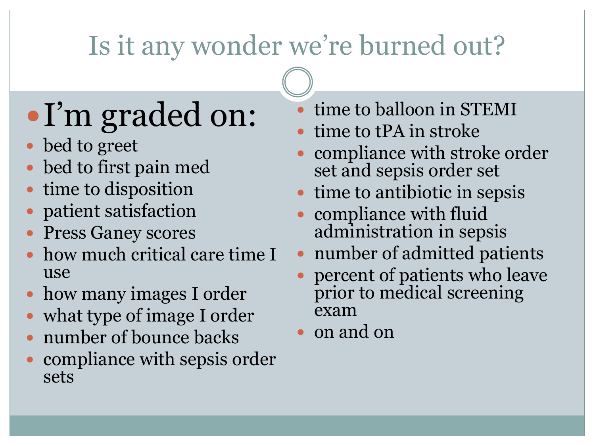# I'm graded on:

- bed to greet
- bed to first pain med
- time to disposition
- patient satisfaction
- Press Ganey scores
- how much critical care time I use
- how many images I order
- what type of image I order
- number of bounce backs
- compliance with sepsis order sets
- time to balloon in STEMI
- time to tPA in stroke
- compliance with stroke order set and sepsis order set
- time to antibiotic in sepsis
- compliance with fluid administration in sepsis
- number of admitted patients
- percent of patients who leave prior to medical screening exam
- on and on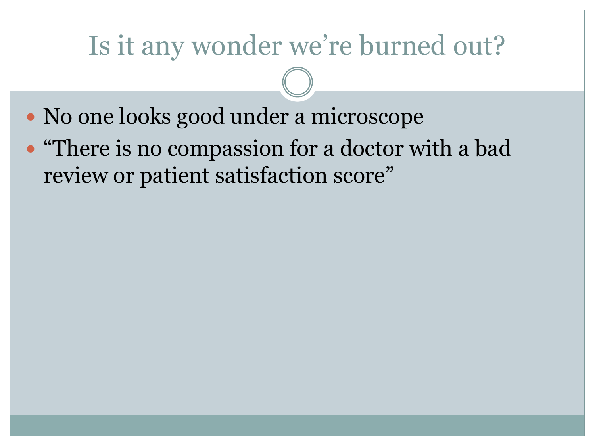- No one looks good under a microscope
- "There is no compassion for a doctor with a bad review or patient satisfaction score"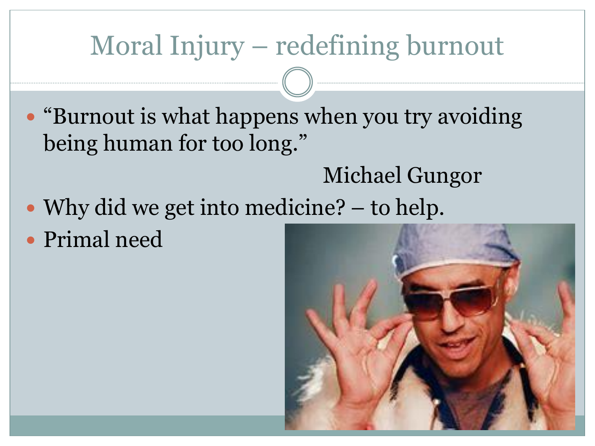• "Burnout is what happens when you try avoiding being human for too long."

Michael Gungor

- Why did we get into medicine? to help.
- Primal need

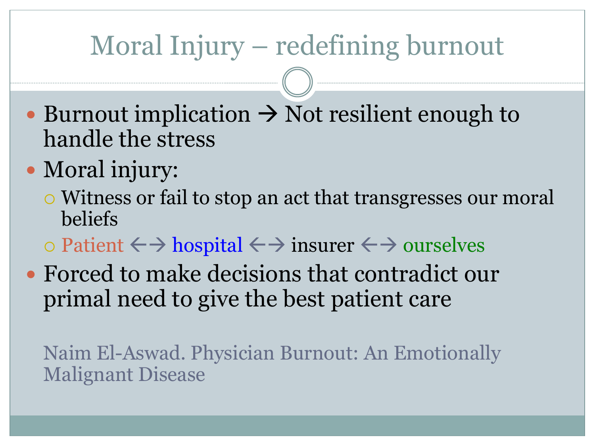- $\bullet$  Burnout implication  $\rightarrow$  Not resilient enough to handle the stress
- Moral injury:
	- Witness or fail to stop an act that transgresses our moral beliefs
	- $\circ$  Patient  $\leftrightarrow$  hospital  $\leftrightarrow$  insurer  $\leftrightarrow$  ourselves
- Forced to make decisions that contradict our primal need to give the best patient care

Naim El-Aswad. Physician Burnout: An Emotionally Malignant Disease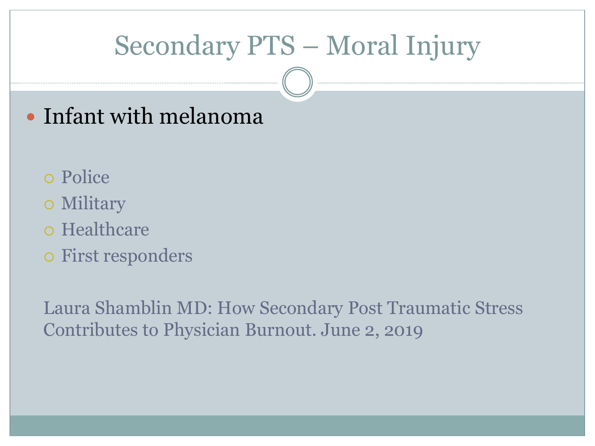### Secondary PTS – Moral Injury

### Infant with melanoma

- Police
- Military
- Healthcare
- First responders

Laura Shamblin MD: How Secondary Post Traumatic Stress Contributes to Physician Burnout. June 2, 2019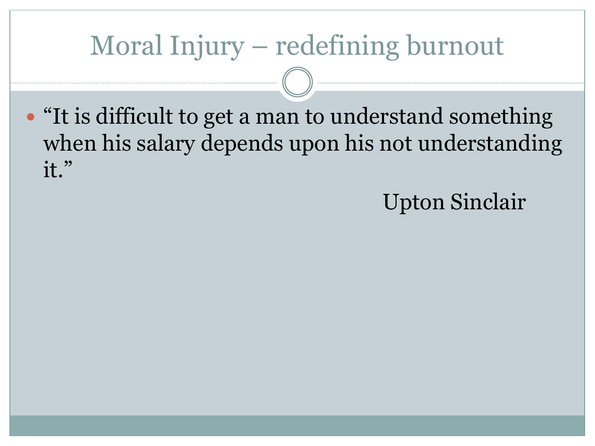• "It is difficult to get a man to understand something when his salary depends upon his not understanding it."

### Upton Sinclair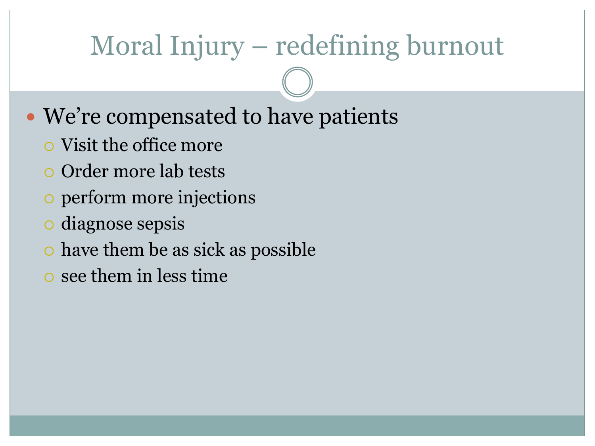- We're compensated to have patients
	- Visit the office more
	- Order more lab tests
	- perform more injections
	- diagnose sepsis
	- have them be as sick as possible
	- see them in less time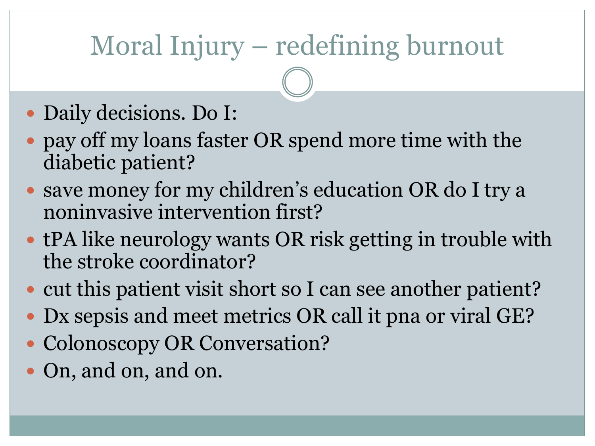- Daily decisions. Do I:
- pay off my loans faster OR spend more time with the diabetic patient?
- save money for my children's education OR do I try a noninvasive intervention first?
- tPA like neurology wants OR risk getting in trouble with the stroke coordinator?
- cut this patient visit short so I can see another patient?
- Dx sepsis and meet metrics OR call it pna or viral GE?
- Colonoscopy OR Conversation?
- On, and on, and on.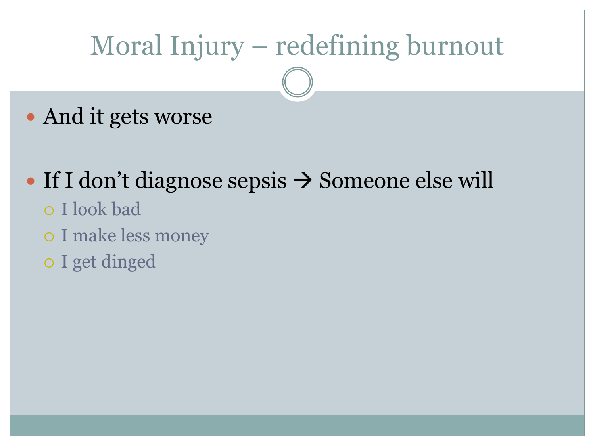- And it gets worse
- If I don't diagnose sepsis  $\rightarrow$  Someone else will
	- I look bad
	- I make less money
	- I get dinged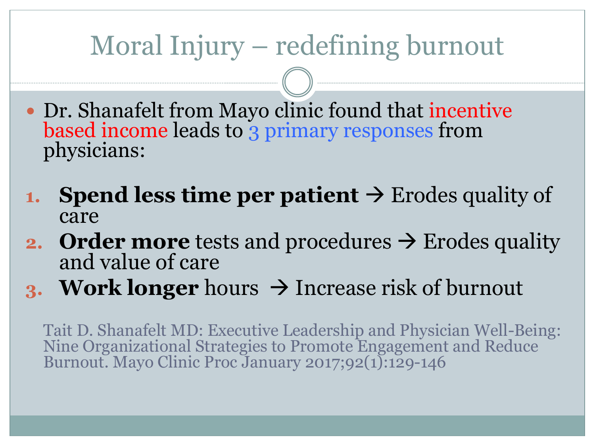- Dr. Shanafelt from Mayo clinic found that incentive based income leads to 3 primary responses from physicians:
- **1. Spend less time per patient**  $\rightarrow$  Erodes quality of care
- **2. Order more** tests and procedures  $\rightarrow$  Erodes quality and value of care
- **3. Work longer** hours  $\rightarrow$  Increase risk of burnout

Tait D. Shanafelt MD: Executive Leadership and Physician Well-Being: Nine Organizational Strategies to Promote Engagement and Reduce Burnout. Mayo Clinic Proc January 2017;92(1):129-146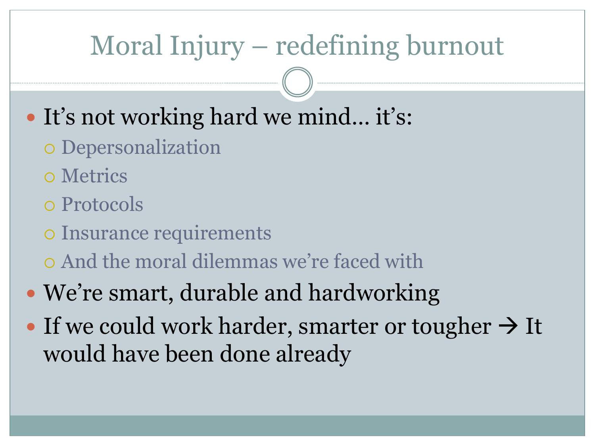### ■ It's not working hard we mind... it's:

- Depersonalization
- Metrics
- Protocols
- o Insurance requirements
- And the moral dilemmas we're faced with
- We're smart, durable and hardworking
- If we could work harder, smarter or tougher  $\rightarrow$  It would have been done already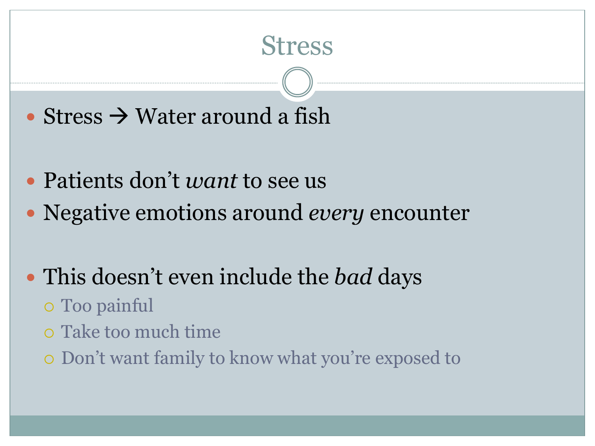### **Stress**

- $\bullet$  Stress  $\rightarrow$  Water around a fish
- Patients don't *want* to see us
- Negative emotions around *every* encounter
- This doesn't even include the *bad* days
	- Too painful
	- Take too much time
	- Don't want family to know what you're exposed to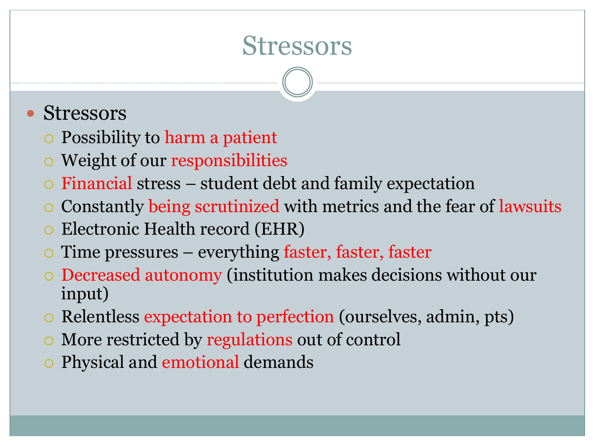### **Stressors**

#### **Stressors**

- Possibility to harm a patient
- Weight of our responsibilities
- $\circ$  Financial stress student debt and family expectation
- Constantly being scrutinized with metrics and the fear of lawsuits
- Electronic Health record (EHR)
- $\circ$  Time pressures everything faster, faster, faster
- Decreased autonomy (institution makes decisions without our input)
- Relentless expectation to perfection (ourselves, admin, pts)
- More restricted by regulations out of control
- Physical and emotional demands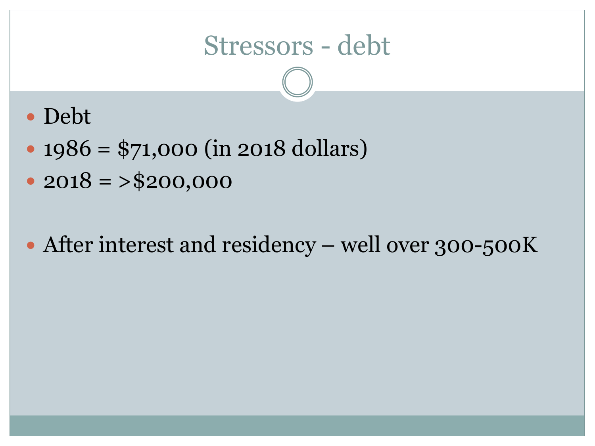### Stressors - debt

- Debt
- $\cdot$  1986 = \$71,000 (in 2018 dollars)
- $\cdot$  2018 = >\$200,000
- After interest and residency well over 300-500K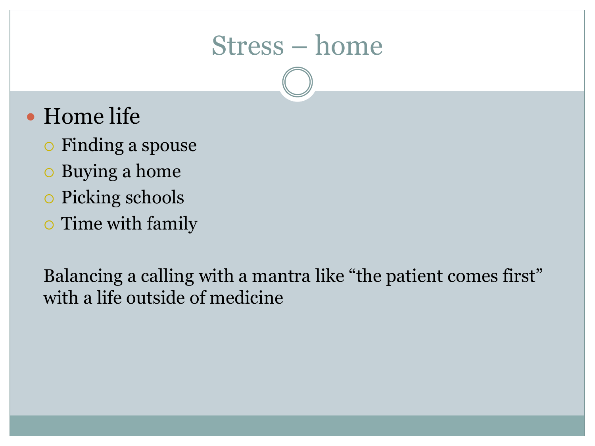### Stress – home

- Home life
	- Finding a spouse
	- Buying a home
	- o Picking schools
	- $\circ$  Time with family

Balancing a calling with a mantra like "the patient comes first" with a life outside of medicine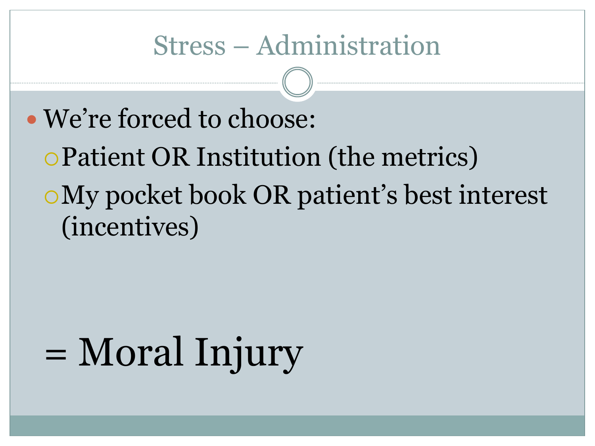### Stress – Administration

 We're forced to choose: Patient OR Institution (the metrics) My pocket book OR patient's best interest (incentives)

# = Moral Injury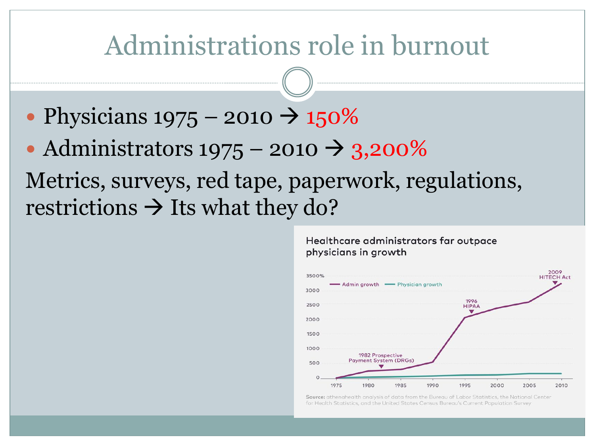- Physicians  $1975 2010 \rightarrow 150\%$
- Administrators  $1975 2010 \rightarrow 3,200\%$
- Metrics, surveys, red tape, paperwork, regulations, restrictions  $\rightarrow$  Its what they do?



Healthcare administrators far outpace physicians in growth

Source: athenahealth analysis of data from the Bureau of Labor Statistics, the National Center for Health Statistics, and the United States Census Bureau's Current Population Survey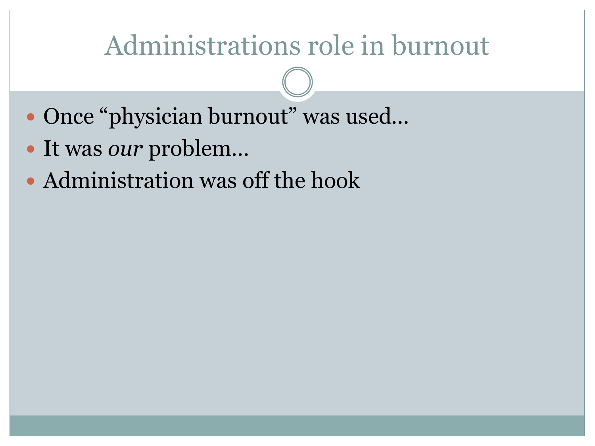- Once "physician burnout" was used…
- It was *our* problem…
- Administration was off the hook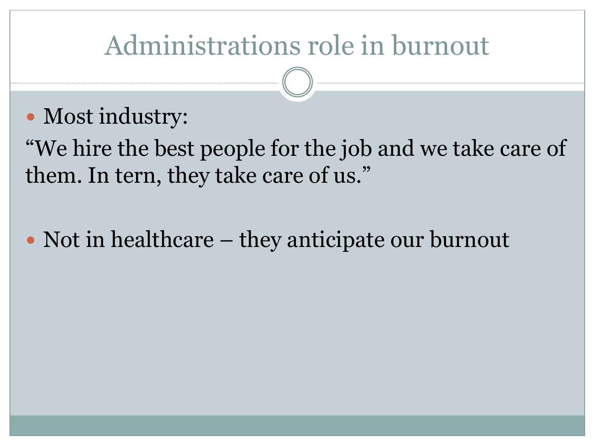Most industry:

"We hire the best people for the job and we take care of them. In tern, they take care of us."

• Not in healthcare – they anticipate our burnout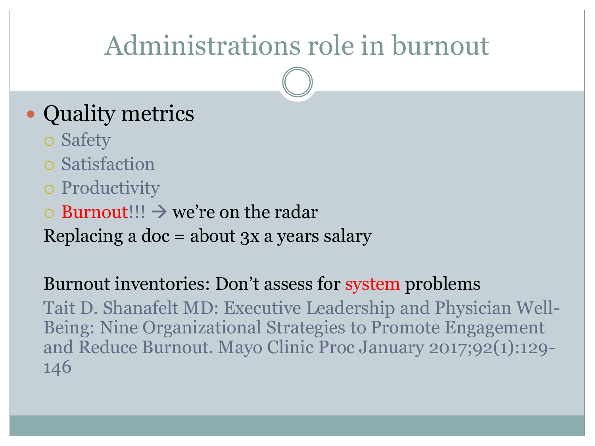### Quality metrics

- Safety
- Satisfaction
- Productivity
- $\circ$  Burnout!!!  $\rightarrow$  we're on the radar
- Replacing a doc = about 3x a years salary

Burnout inventories: Don't assess for system problems Tait D. Shanafelt MD: Executive Leadership and Physician Well-Being: Nine Organizational Strategies to Promote Engagement and Reduce Burnout. Mayo Clinic Proc January 2017;92(1):129- 146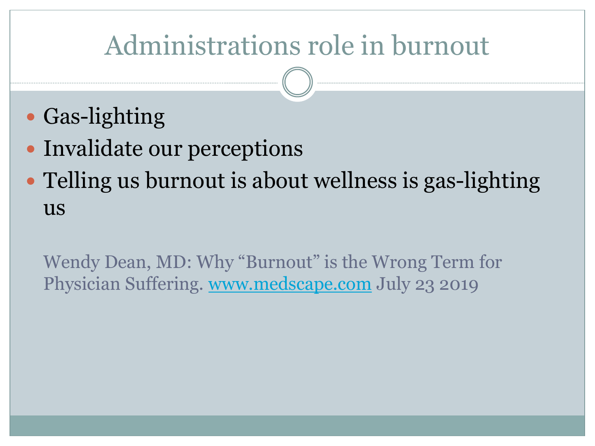- Gas-lighting
- Invalidate our perceptions
- Telling us burnout is about wellness is gas-lighting us

Wendy Dean, MD: Why "Burnout" is the Wrong Term for Physician Suffering. [www.medscape.com](http://www.medscape.com) July 23 2019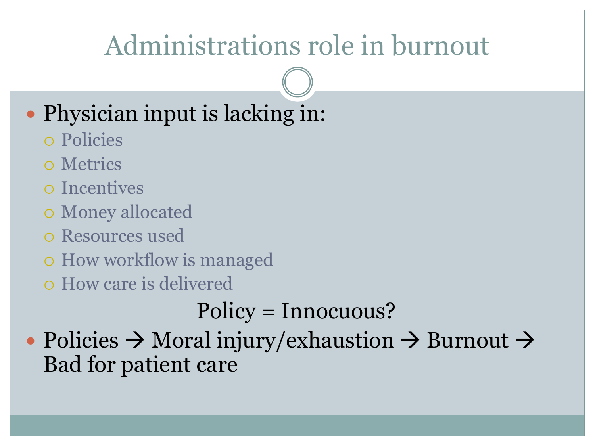# Administrations role in burnout

#### Physician input is lacking in:

- Policies
- Metrics
- Incentives
- Money allocated
- Resources used
- How workflow is managed
- How care is delivered

Policy = Innocuous?

• Policies  $\rightarrow$  Moral injury/exhaustion  $\rightarrow$  Burnout  $\rightarrow$ Bad for patient care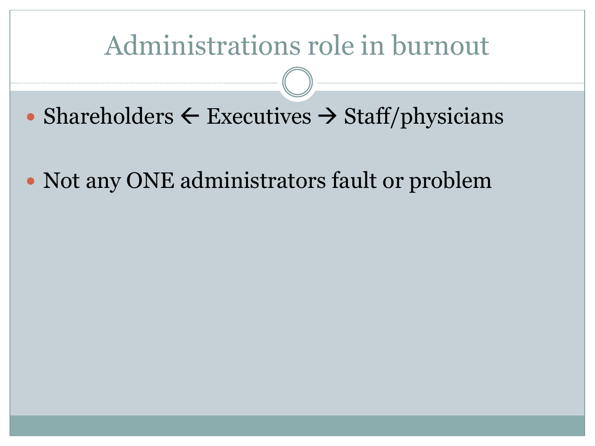### Administrations role in burnout

- Shareholders  $\leftarrow$  Executives  $\rightarrow$  Staff/physicians
- Not any ONE administrators fault or problem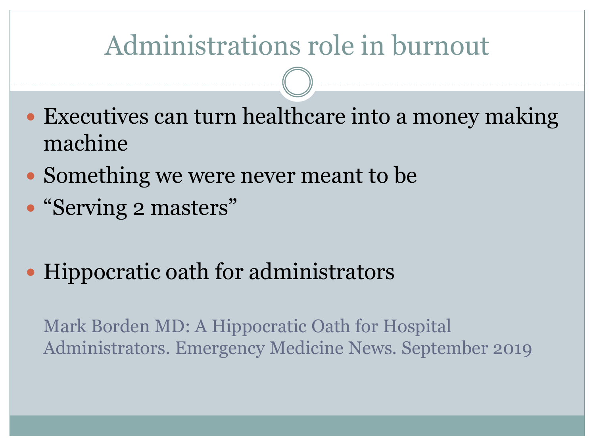# Administrations role in burnout

- Executives can turn healthcare into a money making machine
- Something we were never meant to be
- "Serving 2 masters"
- Hippocratic oath for administrators

Mark Borden MD: A Hippocratic Oath for Hospital Administrators. Emergency Medicine News. September 2019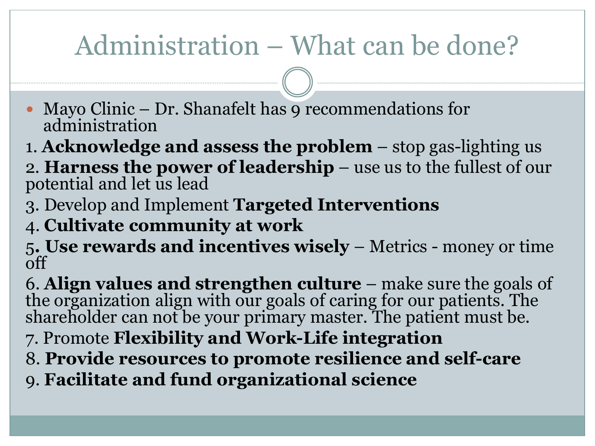# Administration – What can be done?

- Mayo Clinic Dr. Shanafelt has 9 recommendations for administration
- 1. **Acknowledge and assess the problem**  stop gas-lighting us
- 2. **Harness the power of leadership**  use us to the fullest of our potential and let us lead
- 3. Develop and Implement **Targeted Interventions**
- 4. **Cultivate community at work**
- 5**. Use rewards and incentives wisely**  Metrics money or time off
- 6. **Align values and strengthen culture**  make sure the goals of the organization align with our goals of caring for our patients. The shareholder can not be your primary master. The patient must be.
- 7. Promote **Flexibility and Work-Life integration**
- 8. **Provide resources to promote resilience and self-care**
- 9. **Facilitate and fund organizational science**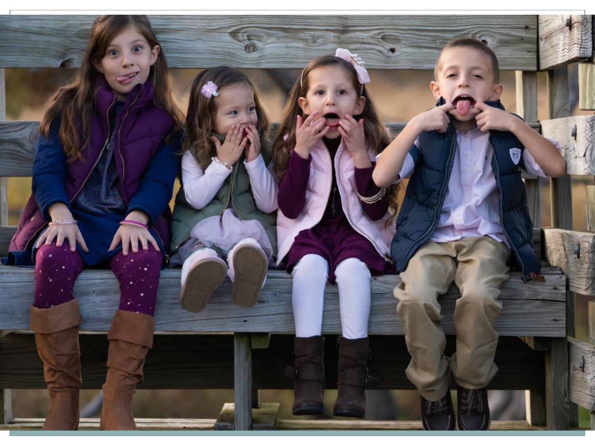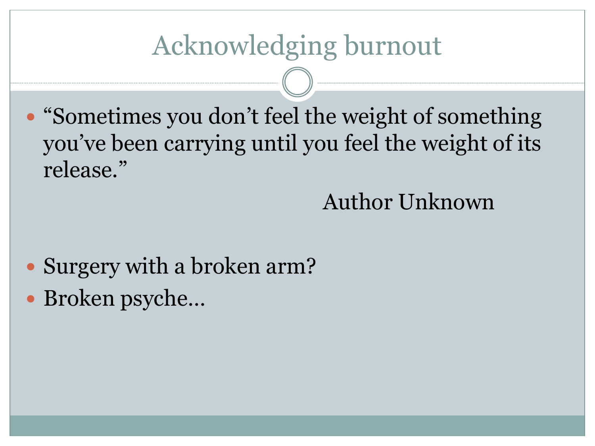• "Sometimes you don't feel the weight of something you've been carrying until you feel the weight of its release."

#### Author Unknown

- Surgery with a broken arm?
- Broken psyche…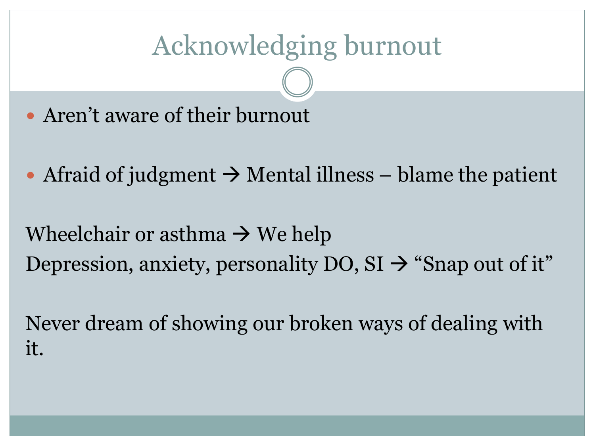- Aren't aware of their burnout
- Afraid of judgment  $\rightarrow$  Mental illness blame the patient

Wheelchair or asthma  $\rightarrow$  We help Depression, anxiety, personality DO,  $SI \rightarrow$  "Snap out of it"

Never dream of showing our broken ways of dealing with it.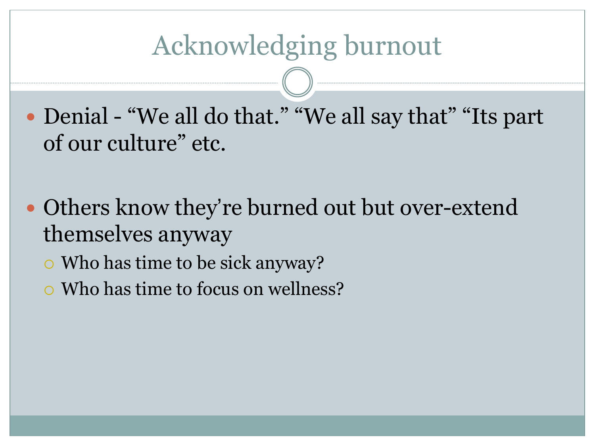Denial - "We all do that." "We all say that" "Its part of our culture" etc.

- Others know they're burned out but over-extend themselves anyway
	- Who has time to be sick anyway?
	- Who has time to focus on wellness?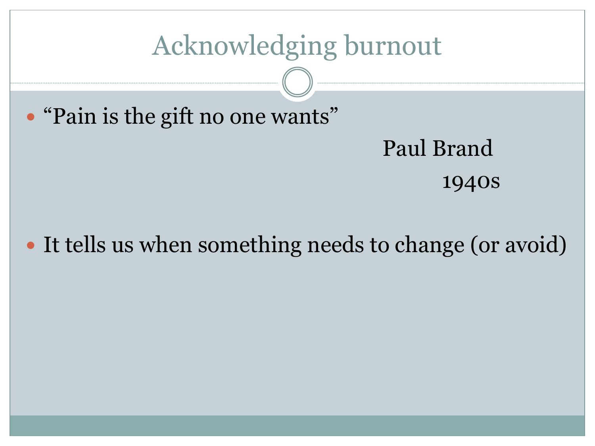#### • "Pain is the gift no one wants"

Paul Brand 1940s

#### It tells us when something needs to change (or avoid)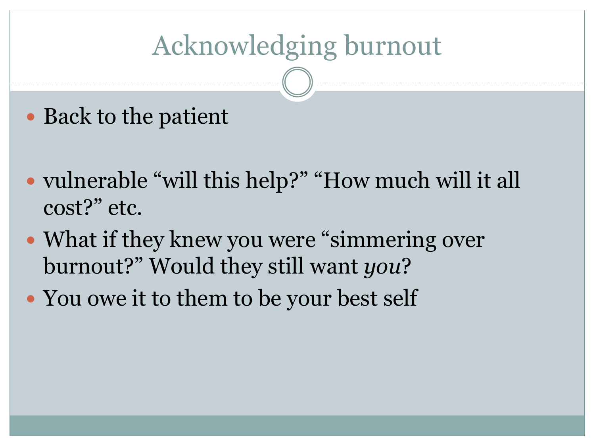- Back to the patient
- vulnerable "will this help?" "How much will it all cost?" etc.
- What if they knew you were "simmering over burnout?" Would they still want *you*?
- You owe it to them to be your best self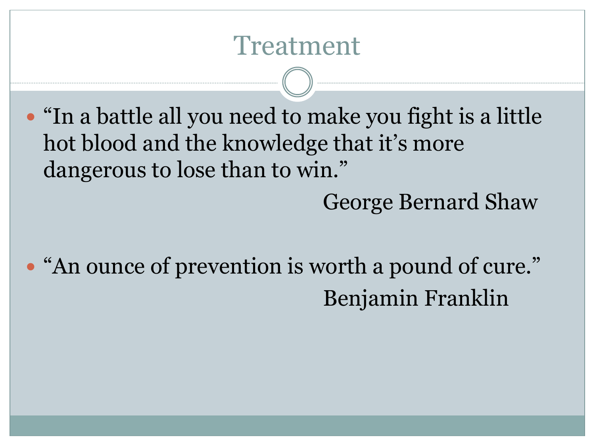#### **Treatment**

• "In a battle all you need to make you fight is a little hot blood and the knowledge that it's more dangerous to lose than to win."

George Bernard Shaw

• "An ounce of prevention is worth a pound of cure." Benjamin Franklin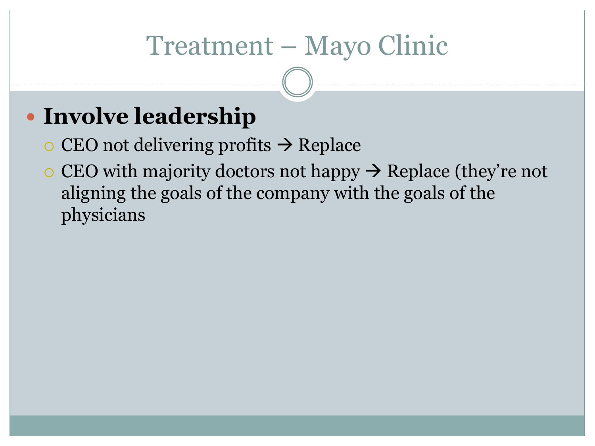### **Involve leadership**

- $\circ$  CEO not delivering profits  $\rightarrow$  Replace
- $\circ$  CEO with majority doctors not happy  $\rightarrow$  Replace (they're not aligning the goals of the company with the goals of the physicians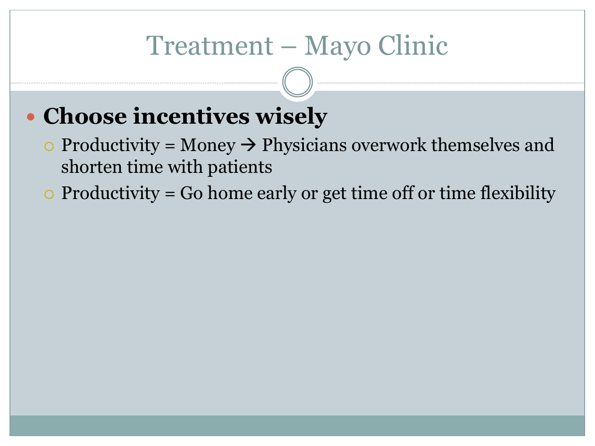#### **Choose incentives wisely**

- $\circ$  Productivity = Money  $\rightarrow$  Physicians overwork themselves and shorten time with patients
- $\circ$  Productivity = Go home early or get time off or time flexibility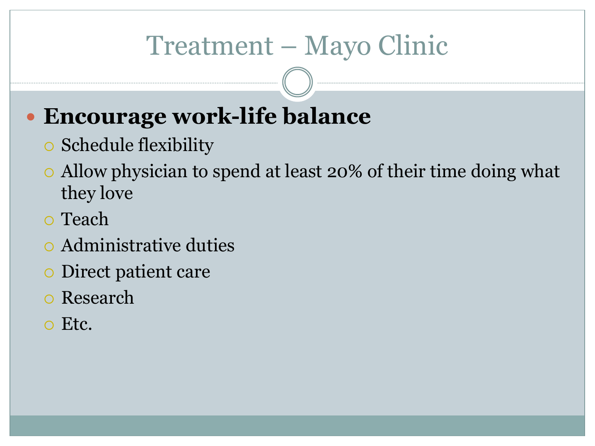### **Encourage work-life balance**

- Schedule flexibility
- Allow physician to spend at least 20% of their time doing what they love
- Teach
- Administrative duties
- Direct patient care
- Research
- Etc.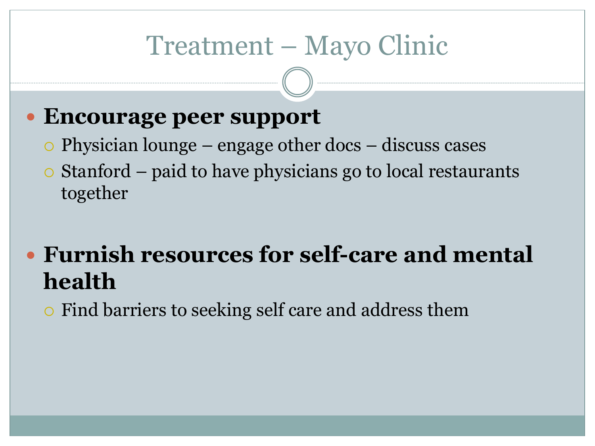#### **Encourage peer support**

- Physician lounge engage other docs discuss cases
- Stanford paid to have physicians go to local restaurants together

### **Furnish resources for self-care and mental health**

Find barriers to seeking self care and address them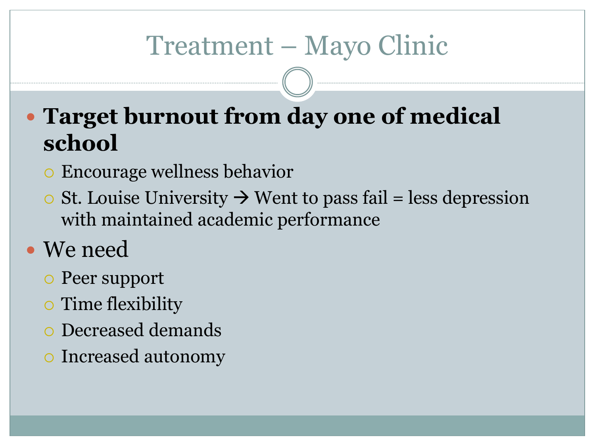**Target burnout from day one of medical school** 

- Encourage wellness behavior
- $\circ$  St. Louise University  $\rightarrow$  Went to pass fail = less depression with maintained academic performance

### • We need

- Peer support
- o Time flexibility
- Decreased demands
- Increased autonomy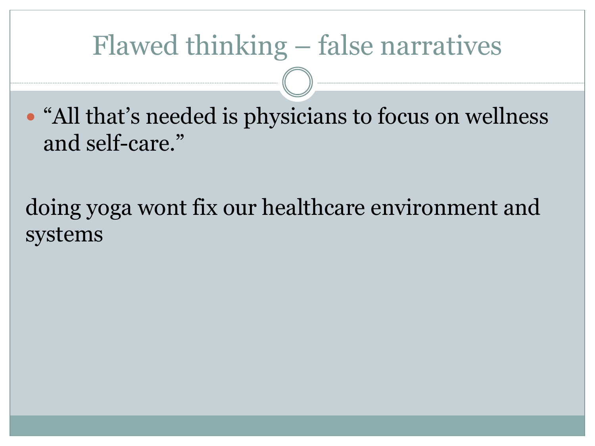• "All that's needed is physicians to focus on wellness and self-care."

doing yoga wont fix our healthcare environment and systems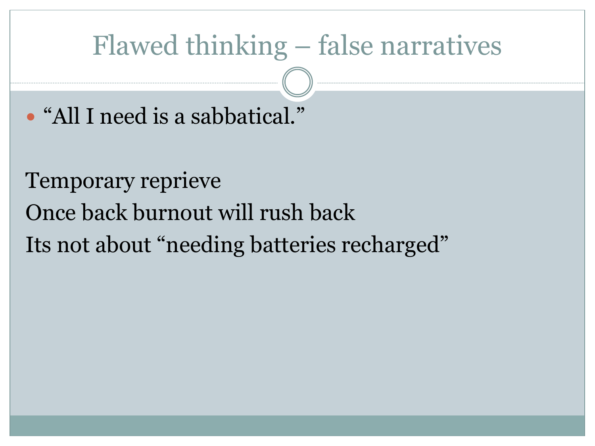"All I need is a sabbatical."

Temporary reprieve Once back burnout will rush back Its not about "needing batteries recharged"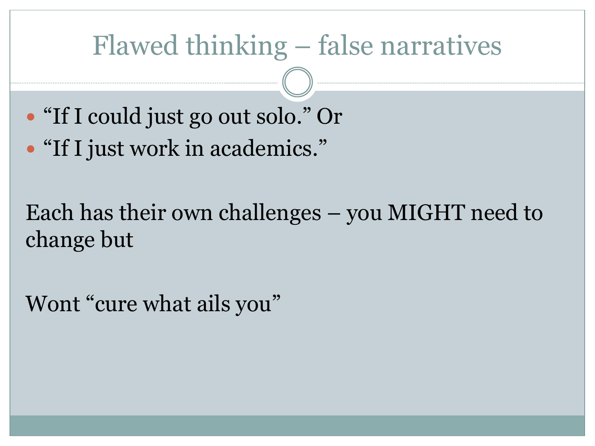- "If I could just go out solo." Or
- "If I just work in academics."

Each has their own challenges – you MIGHT need to change but

Wont "cure what ails you"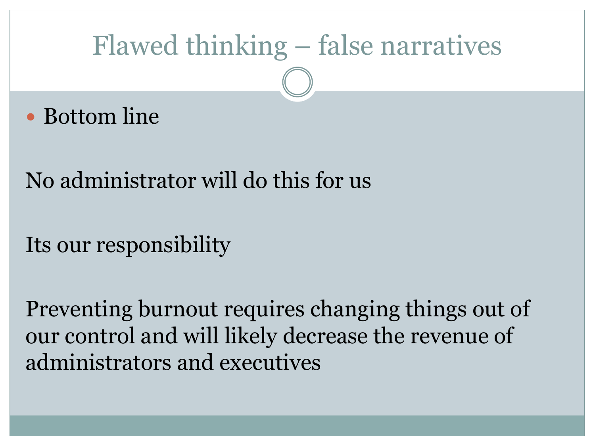• Bottom line

No administrator will do this for us

Its our responsibility

Preventing burnout requires changing things out of our control and will likely decrease the revenue of administrators and executives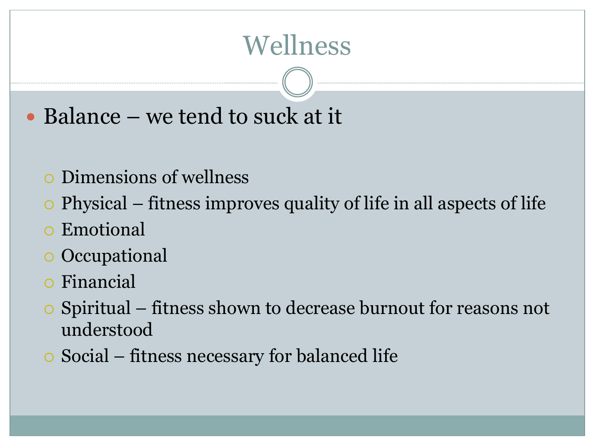• Balance – we tend to suck at it

- Dimensions of wellness
- $\circ$  Physical fitness improves quality of life in all aspects of life
- Emotional
- o Occupational
- Financial
- Spiritual fitness shown to decrease burnout for reasons not understood
- Social fitness necessary for balanced life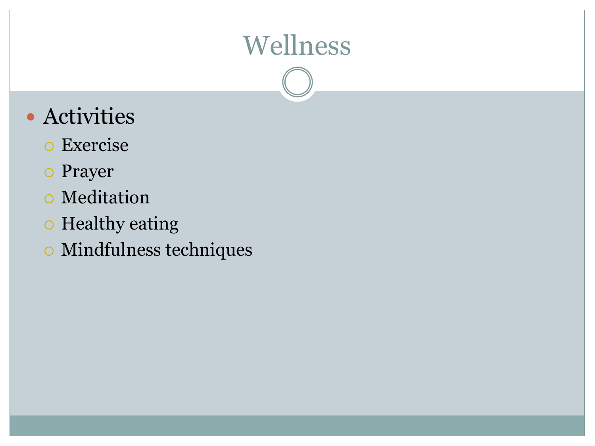- Activities
	- Exercise
	- o Prayer
	- o Meditation
	- o Healthy eating
	- Mindfulness techniques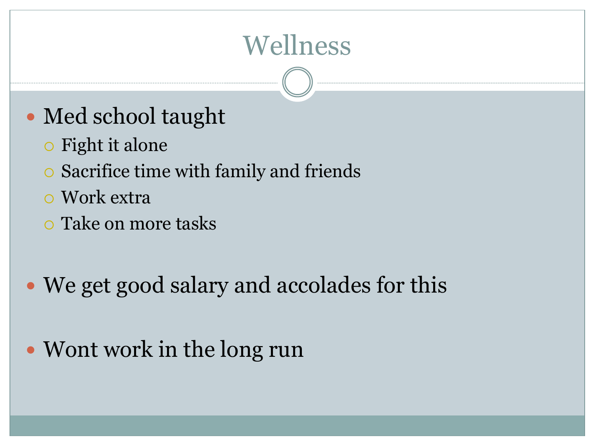- Med school taught
	- Fight it alone
	- Sacrifice time with family and friends
	- Work extra
	- Take on more tasks
- We get good salary and accolades for this
- Wont work in the long run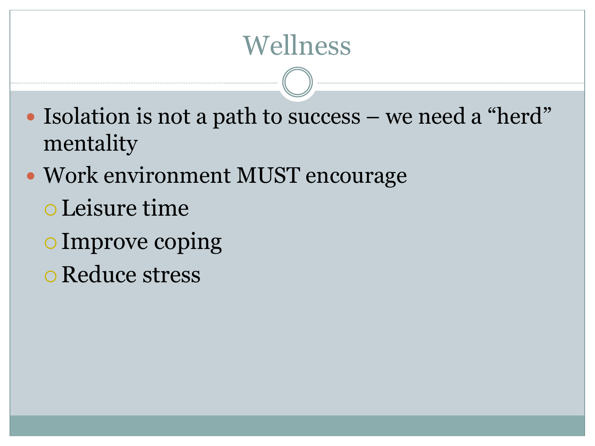- Isolation is not a path to success we need a "herd" mentality
- Work environment MUST encourage
	- Leisure time
	- o Improve coping
	- Reduce stress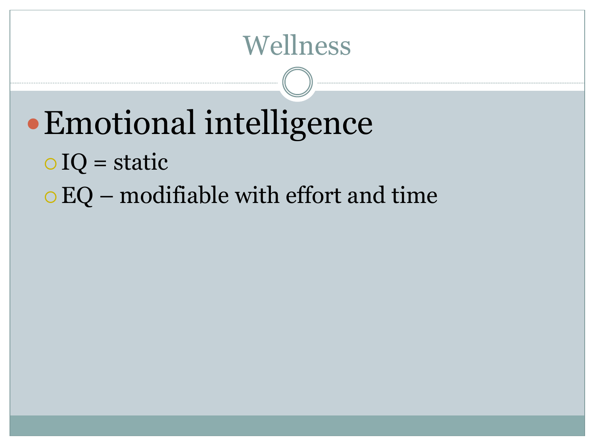# Emotional intelligence

 $\circ$  IQ = static

EQ – modifiable with effort and time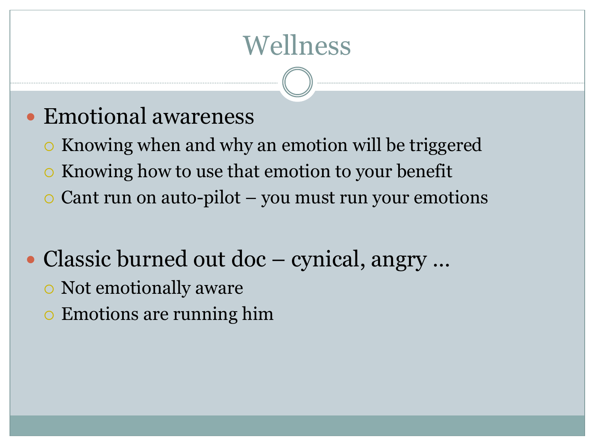#### Emotional awareness

- Knowing when and why an emotion will be triggered
- Knowing how to use that emotion to your benefit
- $\circ$  Cant run on auto-pilot you must run your emotions

### • Classic burned out doc – cynical, angry ...

- Not emotionally aware
- Emotions are running him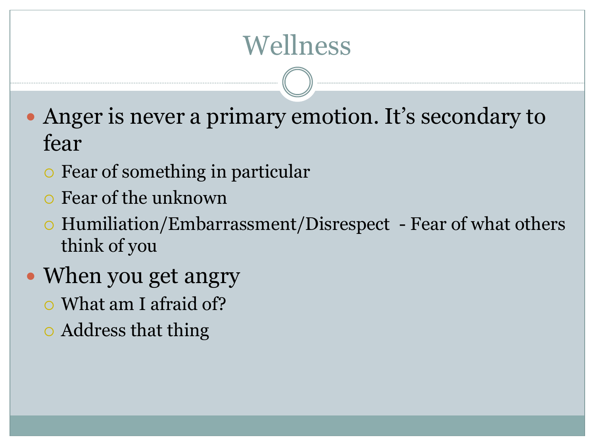- Anger is never a primary emotion. It's secondary to fear
	- Fear of something in particular
	- Fear of the unknown
	- Humiliation/Embarrassment/Disrespect Fear of what others think of you
- When you get angry
	- What am I afraid of?
	- Address that thing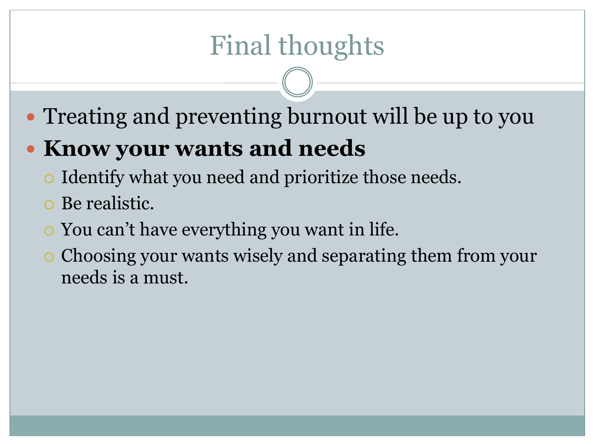# Final thoughts

• Treating and preventing burnout will be up to you

# **Know your wants and needs**

- Identify what you need and prioritize those needs.
- Be realistic.
- You can't have everything you want in life.
- Choosing your wants wisely and separating them from your needs is a must.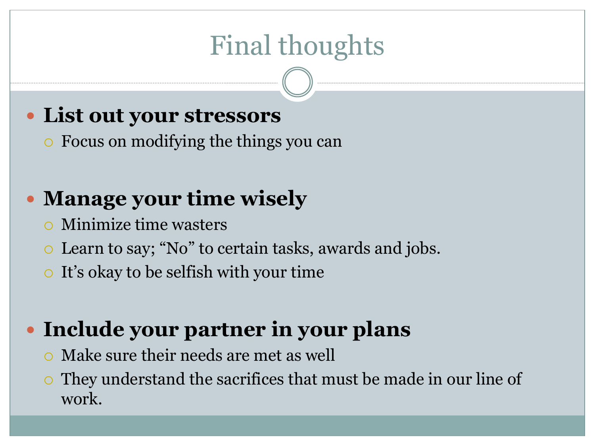# Final thoughts

#### **List out your stressors**

Focus on modifying the things you can

#### **Manage your time wisely**

- Minimize time wasters
- Learn to say; "No" to certain tasks, awards and jobs.
- $\circ$  It's okay to be selfish with your time

#### **Include your partner in your plans**

- Make sure their needs are met as well
- They understand the sacrifices that must be made in our line of work.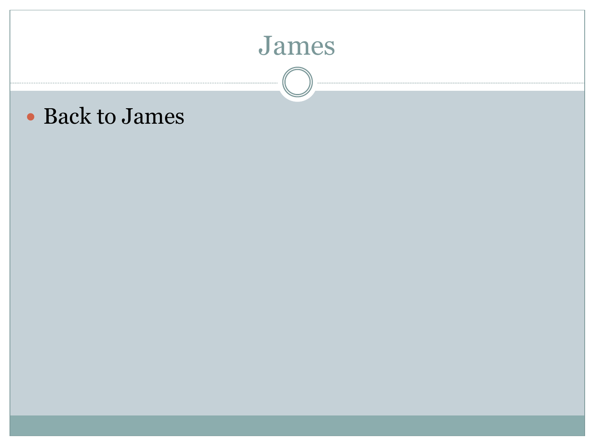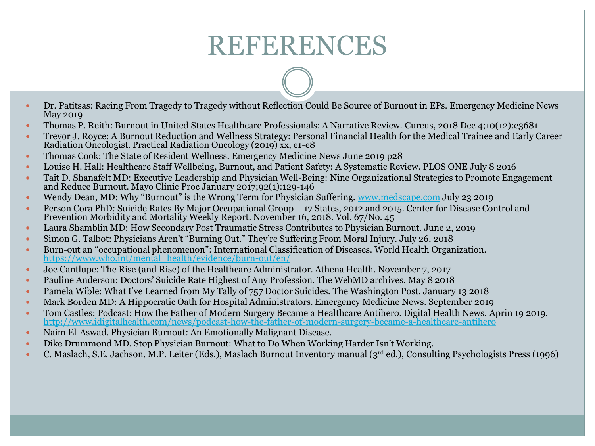### REFERENCES

- Dr. Patitsas: Racing From Tragedy to Tragedy without Reflection Could Be Source of Burnout in EPs. Emergency Medicine News May 2019
- Thomas P. Reith: Burnout in United States Healthcare Professionals: A Narrative Review. Cureus, 2018 Dec 4;10(12):e3681
- Trevor J. Royce: A Burnout Reduction and Wellness Strategy: Personal Financial Health for the Medical Trainee and Early Career Radiation Oncologist. Practical Radiation Oncology (2019) xx, e1-e8
- Thomas Cook: The State of Resident Wellness. Emergency Medicine News June 2019 p28
- Louise H. Hall: Healthcare Staff Wellbeing, Burnout, and Patient Safety: A Systematic Review. PLOS ONE July 8 2016
- Tait D. Shanafelt MD: Executive Leadership and Physician Well-Being: Nine Organizational Strategies to Promote Engagement and Reduce Burnout. Mayo Clinic Proc January 2017;92(1):129-146
- Wendy Dean, MD: Why "Burnout" is the Wrong Term for Physician Suffering. [www.medscape.com](http://www.medscape.com) July 23 2019
- Person Cora PhD: Suicide Rates By Major Occupational Group 17 States, 2012 and 2015. Center for Disease Control and Prevention Morbidity and Mortality Weekly Report. November 16, 2018. Vol. 67/No. 45
- Laura Shamblin MD: How Secondary Post Traumatic Stress Contributes to Physician Burnout. June 2, 2019
- Simon G. Talbot: Physicians Aren't "Burning Out." They're Suffering From Moral Injury. July 26, 2018
- Burn-out an "occupational phenomenon": International Classification of Diseases. World Health Organization. [https://www.who.int/mental\\_health/evidence/burn-out/en/](https://www.who.int/mental_health/evidence/burn-out/en/)
- Joe Cantlupe: The Rise (and Rise) of the Healthcare Administrator. Athena Health. November 7, 2017
- Pauline Anderson: Doctors' Suicide Rate Highest of Any Profession. The WebMD archives. May 8 2018
- Pamela Wible: What I've Learned from My Tally of 757 Doctor Suicides. The Washington Post. January 13 2018
- Mark Borden MD: A Hippocratic Oath for Hospital Administrators. Emergency Medicine News. September 2019
- Tom Castles: Podcast: How the Father of Modern Surgery Became a Healthcare Antihero. Digital Health News. Aprin 19 2019. <http://www.idigitalhealth.com/news/podcast-how-the-father-of-modern-surgery-became-a-healthcare-antihero>
- Naim El-Aswad. Physician Burnout: An Emotionally Malignant Disease.
- Dike Drummond MD. Stop Physician Burnout: What to Do When Working Harder Isn't Working.
- C. Maslach, S.E. Jachson, M.P. Leiter (Eds.), Maslach Burnout Inventory manual (3rd ed.), Consulting Psychologists Press (1996)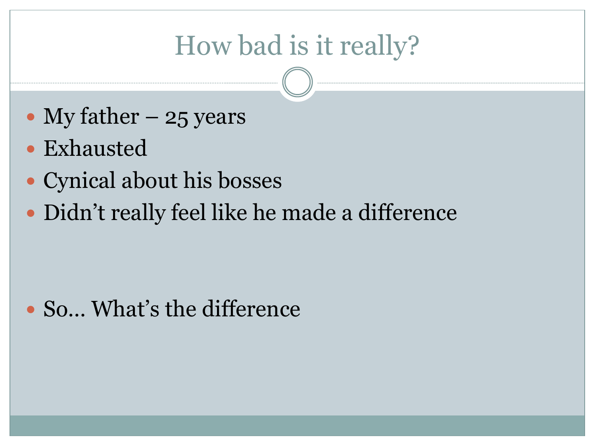# How bad is it really?

- My father  $-25$  years
- Exhausted
- Cynical about his bosses
- Didn't really feel like he made a difference

• So... What's the difference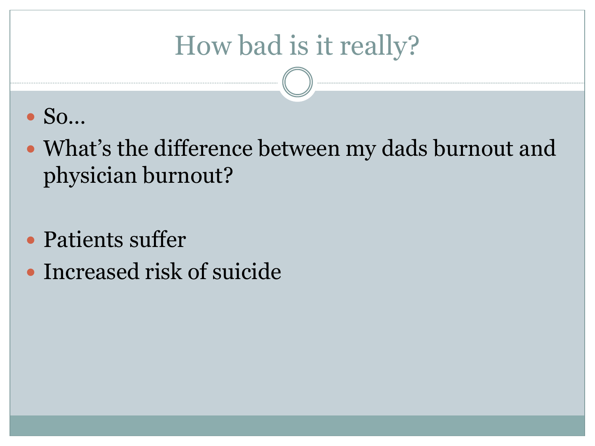# How bad is it really?

- $\bullet$  So...
- What's the difference between my dads burnout and physician burnout?
- Patients suffer
- Increased risk of suicide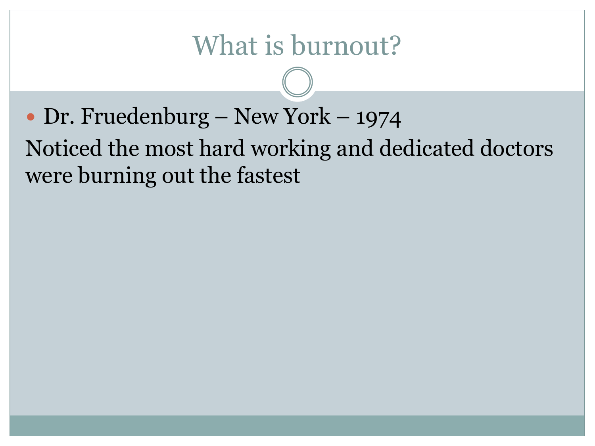# What is burnout?

Dr. Fruedenburg – New York – 1974

Noticed the most hard working and dedicated doctors were burning out the fastest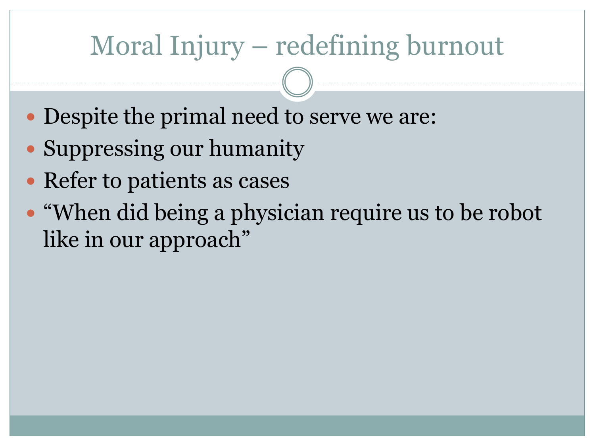# Moral Injury – redefining burnout

- Despite the primal need to serve we are:
- Suppressing our humanity
- Refer to patients as cases
- "When did being a physician require us to be robot like in our approach"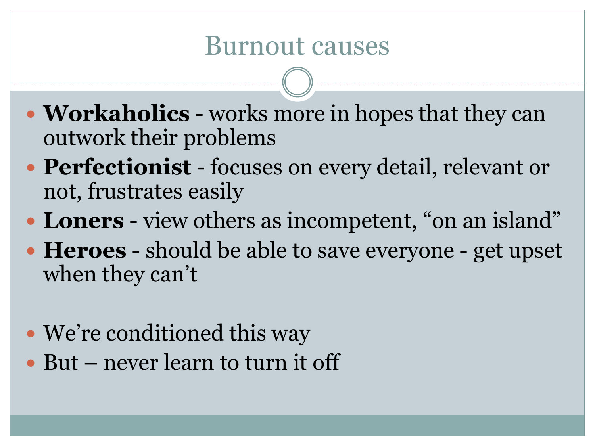#### Burnout causes

- **Workaholics** works more in hopes that they can outwork their problems
- **Perfectionist** focuses on every detail, relevant or not, frustrates easily
- **Loners** view others as incompetent, "on an island"
- **Heroes** should be able to save everyone get upset when they can't
- We're conditioned this way
- But never learn to turn it off